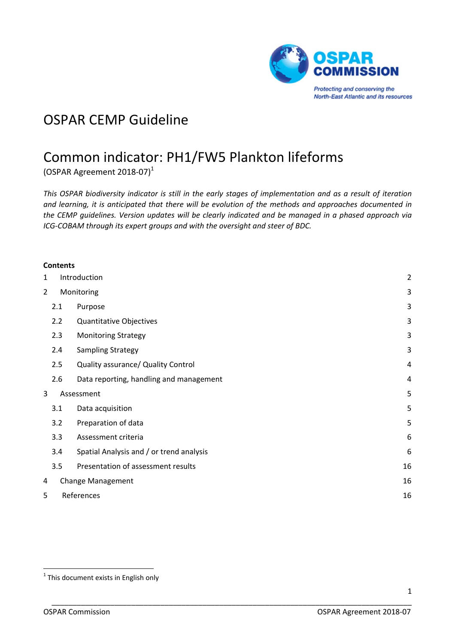

# OSPAR CEMP Guideline

# Common indicator: PH1/FW5 Plankton lifeforms

(OSPAR Agreement 2018‐07)<sup>1</sup>

This OSPAR biodiversity indicator is still in the early stages of implementation and as a result of iteration *and learning, it is anticipated that there will be evolution of the methods and approaches documented in the CEMP guidelines. Version updates will be clearly indicated and be managed in a phased approach via ICG‐COBAM through its expert groups and with the oversight and steer of BDC.*

|                | <b>Contents</b> |                                          |    |
|----------------|-----------------|------------------------------------------|----|
| 1              | Introduction    | $\overline{c}$                           |    |
| $\overline{2}$ |                 | Monitoring                               | 3  |
|                | 2.1             | Purpose                                  | 3  |
|                | 2.2             | Quantitative Objectives                  | 3  |
|                | 2.3             | <b>Monitoring Strategy</b>               | 3  |
|                | 2.4             | <b>Sampling Strategy</b>                 | 3  |
|                | 2.5             | Quality assurance/ Quality Control       | 4  |
|                | 2.6             | Data reporting, handling and management  | 4  |
| 3              |                 | Assessment                               | 5  |
|                | 3.1             | Data acquisition                         | 5  |
|                | 3.2             | Preparation of data                      | 5  |
|                | 3.3             | Assessment criteria                      | 6  |
|                | 3.4             | Spatial Analysis and / or trend analysis | 6  |
|                | 3.5             | Presentation of assessment results       | 16 |
| 4              |                 | Change Management                        | 16 |
| 5              | References      |                                          |    |

  $1$  This document exists in English only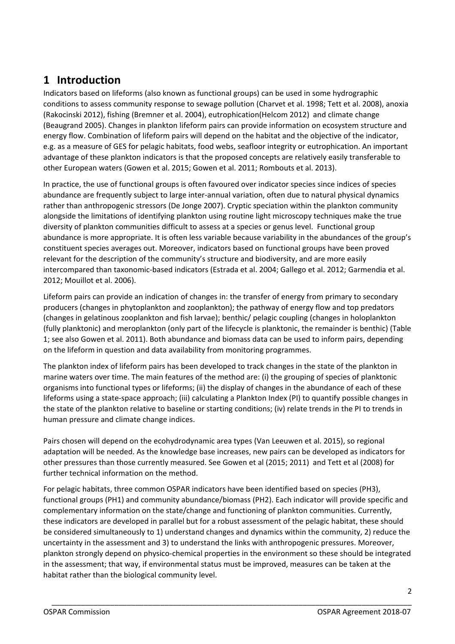# **1 Introduction**

Indicators based on lifeforms (also known as functional groups) can be used in some hydrographic conditions to assess community response to sewage pollution (Charvet et al. 1998; Tett et al. 2008), anoxia (Rakocinski 2012), fishing (Bremner et al. 2004), eutrophication(Helcom 2012) and climate change (Beaugrand 2005). Changes in plankton lifeform pairs can provide information on ecosystem structure and energy flow. Combination of lifeform pairs will depend on the habitat and the objective of the indicator, e.g. as a measure of GES for pelagic habitats, food webs, seafloor integrity or eutrophication. An important advantage of these plankton indicators is that the proposed concepts are relatively easily transferable to other European waters (Gowen et al. 2015; Gowen et al. 2011; Rombouts et al. 2013).

In practice, the use of functional groups is often favoured over indicator species since indices of species abundance are frequently subject to large inter‐annual variation, often due to natural physical dynamics rather than anthropogenic stressors (De Jonge 2007). Cryptic speciation within the plankton community alongside the limitations of identifying plankton using routine light microscopy techniques make the true diversity of plankton communities difficult to assess at a species or genus level. Functional group abundance is more appropriate. It is often less variable because variability in the abundances of the group's constituent species averages out. Moreover, indicators based on functional groups have been proved relevant for the description of the community's structure and biodiversity, and are more easily intercompared than taxonomic‐based indicators (Estrada et al. 2004; Gallego et al. 2012; Garmendia et al. 2012; Mouillot et al. 2006).

Lifeform pairs can provide an indication of changes in: the transfer of energy from primary to secondary producers (changes in phytoplankton and zooplankton); the pathway of energy flow and top predators (changes in gelatinous zooplankton and fish larvae); benthic/ pelagic coupling (changes in holoplankton (fully planktonic) and meroplankton (only part of the lifecycle is planktonic, the remainder is benthic) (Table 1; see also Gowen et al. 2011). Both abundance and biomass data can be used to inform pairs, depending on the lifeform in question and data availability from monitoring programmes.

The plankton index of lifeform pairs has been developed to track changes in the state of the plankton in marine waters over time. The main features of the method are: (i) the grouping of species of planktonic organisms into functional types or lifeforms; (ii) the display of changes in the abundance of each of these lifeforms using a state‐space approach; (iii) calculating a Plankton Index (PI) to quantify possible changes in the state of the plankton relative to baseline or starting conditions; (iv) relate trends in the PI to trends in human pressure and climate change indices.

Pairs chosen will depend on the ecohydrodynamic area types (Van Leeuwen et al. 2015), so regional adaptation will be needed. As the knowledge base increases, new pairs can be developed as indicators for other pressures than those currently measured. See Gowen et al (2015; 2011) and Tett et al (2008) for further technical information on the method.

For pelagic habitats, three common OSPAR indicators have been identified based on species (PH3), functional groups (PH1) and community abundance/biomass (PH2). Each indicator will provide specific and complementary information on the state/change and functioning of plankton communities. Currently, these indicators are developed in parallel but for a robust assessment of the pelagic habitat, these should be considered simultaneously to 1) understand changes and dynamics within the community, 2) reduce the uncertainty in the assessment and 3) to understand the links with anthropogenic pressures. Moreover, plankton strongly depend on physico‐chemical properties in the environment so these should be integrated in the assessment; that way, if environmental status must be improved, measures can be taken at the habitat rather than the biological community level.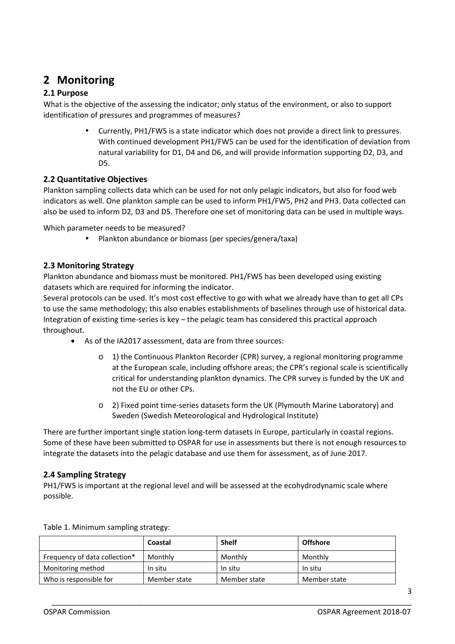# **2 Monitoring**

# **2.1 Purpose**

What is the objective of the assessing the indicator; only status of the environment, or also to support identification of pressures and programmes of measures?

> • Currently, PH1/FW5 is a state indicator which does not provide a direct link to pressures. With continued development PH1/FW5 can be used for the identification of deviation from natural variability for D1, D4 and D6, and will provide information supporting D2, D3, and D5.

### **2.2 Quantitative Objectives**

Plankton sampling collects data which can be used for not only pelagic indicators, but also for food web indicators as well. One plankton sample can be used to inform PH1/FW5, PH2 and PH3. Data collected can also be used to inform D2, D3 and D5. Therefore one set of monitoring data can be used in multiple ways.

Which parameter needs to be measured?

• Plankton abundance or biomass (per species/genera/taxa)

### **2.3 Monitoring Strategy**

Plankton abundance and biomass must be monitored. PH1/FW5 has been developed using existing datasets which are required for informing the indicator.

Several protocols can be used. It's most cost effective to go with what we already have than to get all CPs to use the same methodology; this also enables establishments of baselines through use of historical data. Integration of existing time‐series is key – the pelagic team has considered this practical approach throughout.

- As of the IA2017 assessment, data are from three sources:
	- o 1) the Continuous Plankton Recorder (CPR) survey, a regional monitoring programme at the European scale, including offshore areas; the CPR's regional scale is scientifically critical for understanding plankton dynamics. The CPR survey is funded by the UK and not the EU or other CPs.
	- o 2) Fixed point time‐series datasets form the UK (Plymouth Marine Laboratory) and Sweden (Swedish Meteorological and Hydrological Institute)

There are further important single station long-term datasets in Europe, particularly in coastal regions. Some of these have been submitted to OSPAR for use in assessments but there is not enough resources to integrate the datasets into the pelagic database and use them for assessment, as of June 2017.

#### **2.4 Sampling Strategy**

PH1/FW5 is important at the regional level and will be assessed at the ecohydrodynamic scale where possible.

|                               | Coastal      | <b>Shelf</b> | <b>Offshore</b> |
|-------------------------------|--------------|--------------|-----------------|
| Frequency of data collection* | Monthly      | Monthly      | Monthly         |
| Monitoring method             | In situ      | In situ      | In situ         |
| Who is responsible for        | Member state | Member state | Member state    |

\_\_\_\_\_\_\_\_\_\_\_\_\_\_\_\_\_\_\_\_\_\_\_\_\_\_\_\_\_\_\_\_\_\_\_\_\_\_\_\_\_\_\_\_\_\_\_\_\_\_\_\_\_\_\_\_\_\_\_\_\_\_\_\_\_\_\_\_\_\_\_\_\_\_\_\_\_\_\_\_\_\_\_\_\_\_

Table 1. Minimum sampling strategy: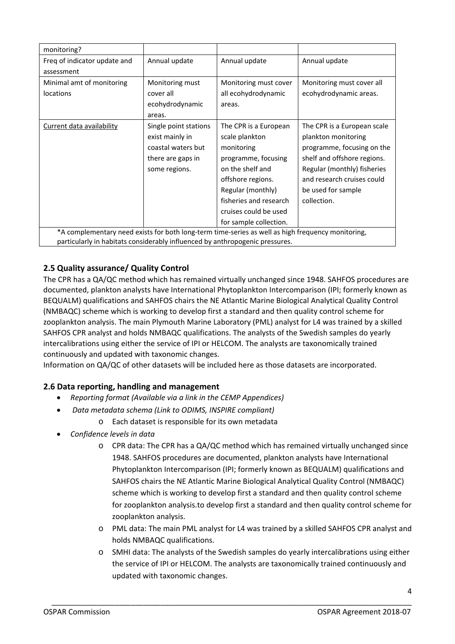| monitoring?                                                                                       |                       |                        |                             |  |  |
|---------------------------------------------------------------------------------------------------|-----------------------|------------------------|-----------------------------|--|--|
| Freq of indicator update and                                                                      | Annual update         | Annual update          | Annual update               |  |  |
| assessment                                                                                        |                       |                        |                             |  |  |
| Minimal amt of monitoring                                                                         | Monitoring must       | Monitoring must cover  | Monitoring must cover all   |  |  |
| locations                                                                                         | cover all             | all ecohydrodynamic    | ecohydrodynamic areas.      |  |  |
|                                                                                                   | ecohydrodynamic       | areas.                 |                             |  |  |
|                                                                                                   | areas.                |                        |                             |  |  |
| Current data availability                                                                         | Single point stations | The CPR is a European  | The CPR is a European scale |  |  |
|                                                                                                   | exist mainly in       | scale plankton         | plankton monitoring         |  |  |
|                                                                                                   | coastal waters but    | monitoring             | programme, focusing on the  |  |  |
|                                                                                                   | there are gaps in     | programme, focusing    | shelf and offshore regions. |  |  |
|                                                                                                   | some regions.         | on the shelf and       | Regular (monthly) fisheries |  |  |
|                                                                                                   |                       | offshore regions.      | and research cruises could  |  |  |
|                                                                                                   |                       | Regular (monthly)      | be used for sample          |  |  |
|                                                                                                   |                       | fisheries and research | collection.                 |  |  |
|                                                                                                   |                       | cruises could be used  |                             |  |  |
|                                                                                                   |                       | for sample collection. |                             |  |  |
| *A complementary need exists for both long-term time-series as well as high frequency monitoring, |                       |                        |                             |  |  |
| particularly in habitats considerably influenced by anthropogenic pressures.                      |                       |                        |                             |  |  |

# **2.5 Quality assurance/ Quality Control**

The CPR has a QA/QC method which has remained virtually unchanged since 1948. SAHFOS procedures are documented, plankton analysts have International Phytoplankton Intercomparison (IPI; formerly known as BEQUALM) qualifications and SAHFOS chairs the NE Atlantic Marine Biological Analytical Quality Control (NMBAQC) scheme which is working to develop first a standard and then quality control scheme for zooplankton analysis. The main Plymouth Marine Laboratory (PML) analyst for L4 was trained by a skilled SAHFOS CPR analyst and holds NMBAQC qualifications. The analysts of the Swedish samples do yearly intercalibrations using either the service of IPI or HELCOM. The analysts are taxonomically trained continuously and updated with taxonomic changes.

Information on QA/QC of other datasets will be included here as those datasets are incorporated.

### **2.6 Data reporting, handling and management**

- *Reporting format (Available via a link in the CEMP Appendices)*
- *Data metadata schema (Link to ODIMS, INSPIRE compliant)*
	- o Each dataset is responsible for its own metadata
- *Confidence levels in data*
	- o CPR data: The CPR has a QA/QC method which has remained virtually unchanged since 1948. SAHFOS procedures are documented, plankton analysts have International Phytoplankton Intercomparison (IPI; formerly known as BEQUALM) qualifications and SAHFOS chairs the NE Atlantic Marine Biological Analytical Quality Control (NMBAQC) scheme which is working to develop first a standard and then quality control scheme for zooplankton analysis.to develop first a standard and then quality control scheme for zooplankton analysis.
	- o PML data: The main PML analyst for L4 was trained by a skilled SAHFOS CPR analyst and holds NMBAQC qualifications.
	- o SMHI data: The analysts of the Swedish samples do yearly intercalibrations using either the service of IPI or HELCOM. The analysts are taxonomically trained continuously and updated with taxonomic changes.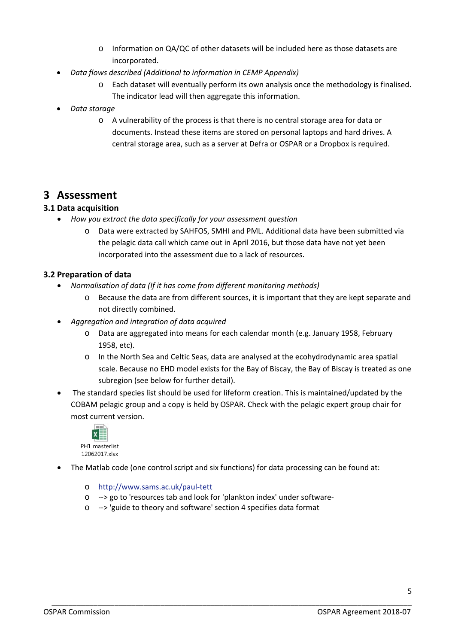- o Information on QA/QC of other datasets will be included here as those datasets are incorporated.
- *Data flows described (Additional to information in CEMP Appendix)*
	- o Each dataset will eventually perform its own analysis once the methodology is finalised. The indicator lead will then aggregate this information.
- *Data storage*
	- o A vulnerability of the process is that there is no central storage area for data or documents. Instead these items are stored on personal laptops and hard drives. A central storage area, such as a server at Defra or OSPAR or a Dropbox is required.

# **3 Assessment**

# **3.1 Data acquisition**

- *How you extract the data specifically for your assessment question*
	- o Data were extracted by SAHFOS, SMHI and PML. Additional data have been submitted via the pelagic data call which came out in April 2016, but those data have not yet been incorporated into the assessment due to a lack of resources.

# **3.2 Preparation of data**

- *Normalisation of data (If it has come from different monitoring methods)*
	- o Because the data are from different sources, it is important that they are kept separate and not directly combined.
- *Aggregation and integration of data acquired*
	- o Data are aggregated into means for each calendar month (e.g. January 1958, February 1958, etc).
	- o In the North Sea and Celtic Seas, data are analysed at the ecohydrodynamic area spatial scale. Because no EHD model exists for the Bay of Biscay, the Bay of Biscay is treated as one subregion (see below for further detail).
- The standard species list should be used for lifeform creation. This is maintained/updated by the COBAM pelagic group and a copy is held by OSPAR. Check with the pelagic expert group chair for most current version.



The Matlab code (one control script and six functions) for data processing can be found at:

- o http://www.sams.ac.uk/paul‐tett
- o ‐‐> go to 'resources tab and look for 'plankton index' under software‐
- o ‐‐> 'guide to theory and software' section 4 specifies data format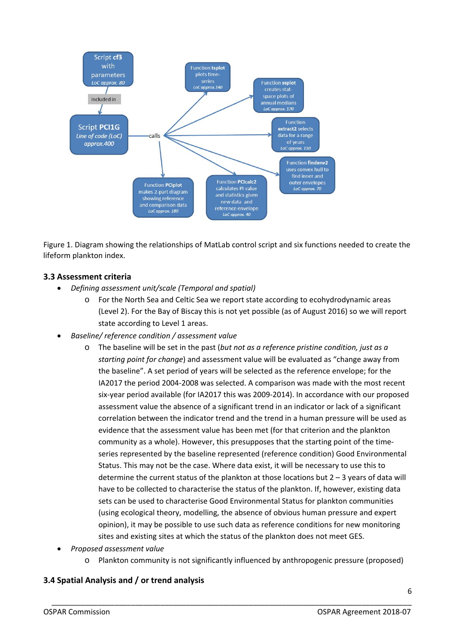

Figure 1. Diagram showing the relationships of MatLab control script and six functions needed to create the lifeform plankton index.

### **3.3 Assessment criteria**

- *Defining assessment unit/scale (Temporal and spatial)*
	- o For the North Sea and Celtic Sea we report state according to ecohydrodynamic areas (Level 2). For the Bay of Biscay this is not yet possible (as of August 2016) so we will report state according to Level 1 areas.
- *Baseline/ reference condition / assessment value*
	- o The baseline will be set in the past (*but not as a reference pristine condition, just as a starting point for change*) and assessment value will be evaluated as "change away from the baseline". A set period of years will be selected as the reference envelope; for the IA2017 the period 2004‐2008 was selected. A comparison was made with the most recent six-year period available (for IA2017 this was 2009-2014). In accordance with our proposed assessment value the absence of a significant trend in an indicator or lack of a significant correlation between the indicator trend and the trend in a human pressure will be used as evidence that the assessment value has been met (for that criterion and the plankton community as a whole). However, this presupposes that the starting point of the time‐ series represented by the baseline represented (reference condition) Good Environmental Status. This may not be the case. Where data exist, it will be necessary to use this to determine the current status of the plankton at those locations but  $2 - 3$  years of data will have to be collected to characterise the status of the plankton. If, however, existing data sets can be used to characterise Good Environmental Status for plankton communities (using ecological theory, modelling, the absence of obvious human pressure and expert opinion), it may be possible to use such data as reference conditions for new monitoring sites and existing sites at which the status of the plankton does not meet GES.
- *Proposed assessment value*
	- o Plankton community is not significantly influenced by anthropogenic pressure (proposed)

\_\_\_\_\_\_\_\_\_\_\_\_\_\_\_\_\_\_\_\_\_\_\_\_\_\_\_\_\_\_\_\_\_\_\_\_\_\_\_\_\_\_\_\_\_\_\_\_\_\_\_\_\_\_\_\_\_\_\_\_\_\_\_\_\_\_\_\_\_\_\_\_\_\_\_\_\_\_\_\_\_\_\_\_\_\_

### **3.4 Spatial Analysis and / or trend analysis**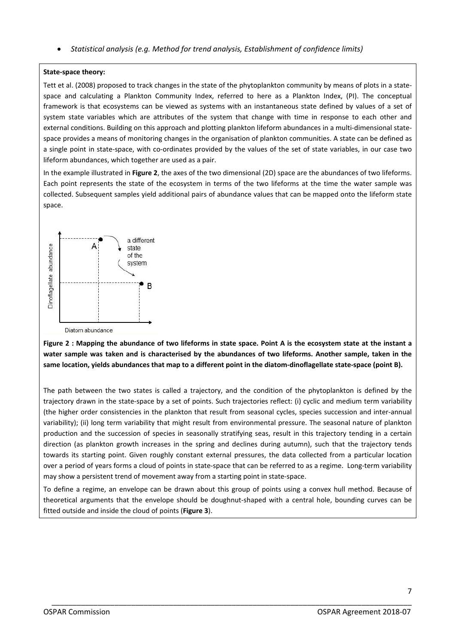*Statistical analysis (e.g. Method for trend analysis, Establishment of confidence limits)*

#### **State‐space theory:**

Tett et al. (2008) proposed to track changes in the state of the phytoplankton community by means of plots in a state‐ space and calculating a Plankton Community Index, referred to here as a Plankton Index, (PI). The conceptual framework is that ecosystems can be viewed as systems with an instantaneous state defined by values of a set of system state variables which are attributes of the system that change with time in response to each other and external conditions. Building on this approach and plotting plankton lifeform abundances in a multi-dimensional statespace provides a means of monitoring changes in the organisation of plankton communities. A state can be defined as a single point in state-space, with co-ordinates provided by the values of the set of state variables, in our case two lifeform abundances, which together are used as a pair.

In the example illustrated in **Figure 2**, the axes of the two dimensional (2D) space are the abundances of two lifeforms. Each point represents the state of the ecosystem in terms of the two lifeforms at the time the water sample was collected. Subsequent samples yield additional pairs of abundance values that can be mapped onto the lifeform state space.



Figure 2 : Mapping the abundance of two lifeforms in state space. Point A is the ecosystem state at the instant a water sample was taken and is characterised by the abundances of two lifeforms. Another sample, taken in the same location, vields abundances that map to a different point in the diatom-dinoflagellate state-space (point B).

The path between the two states is called a trajectory, and the condition of the phytoplankton is defined by the trajectory drawn in the state‐space by a set of points. Such trajectories reflect: (i) cyclic and medium term variability (the higher order consistencies in the plankton that result from seasonal cycles, species succession and inter‐annual variability); (ii) long term variability that might result from environmental pressure. The seasonal nature of plankton production and the succession of species in seasonally stratifying seas, result in this trajectory tending in a certain direction (as plankton growth increases in the spring and declines during autumn), such that the trajectory tends towards its starting point. Given roughly constant external pressures, the data collected from a particular location over a period of years forms a cloud of points in state‐space that can be referred to as a regime. Long‐term variability may show a persistent trend of movement away from a starting point in state‐space.

To define a regime, an envelope can be drawn about this group of points using a convex hull method. Because of theoretical arguments that the envelope should be doughnut‐shaped with a central hole, bounding curves can be fitted outside and inside the cloud of points (**Figure 3**).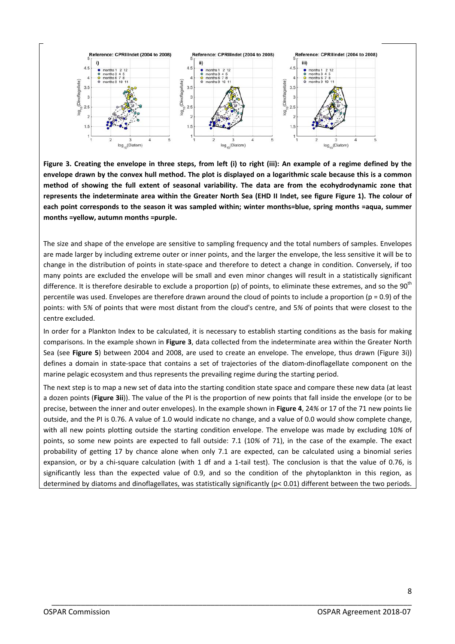

Figure 3. Creating the envelope in three steps, from left (i) to right (iii): An example of a regime defined by the envelope drawn by the convex hull method. The plot is displayed on a logarithmic scale because this is a common method of showing the full extent of seasonal variability. The data are from the ecohydrodynamic zone that represents the indeterminate area within the Greater North Sea (EHD II Indet, see figure Figure 1). The colour of **each point corresponds to the season it was sampled within; winter months=blue, spring months =aqua, summer months =yellow, autumn months =purple.**

The size and shape of the envelope are sensitive to sampling frequency and the total numbers of samples. Envelopes are made larger by including extreme outer or inner points, and the larger the envelope, the less sensitive it will be to change in the distribution of points in state‐space and therefore to detect a change in condition. Conversely, if too many points are excluded the envelope will be small and even minor changes will result in a statistically significant difference. It is therefore desirable to exclude a proportion (p) of points, to eliminate these extremes, and so the  $90<sup>th</sup>$ percentile was used. Envelopes are therefore drawn around the cloud of points to include a proportion ( $p = 0.9$ ) of the points: with 5*%* of points that were most distant from the cloud's centre, and 5*%* of points that were closest to the centre excluded.

In order for a Plankton Index to be calculated, it is necessary to establish starting conditions as the basis for making comparisons. In the example shown in **Figure 3**, data collected from the indeterminate area within the Greater North Sea (see **Figure 5**) between 2004 and 2008, are used to create an envelope. The envelope, thus drawn (Figure 3i)) defines a domain in state-space that contains a set of trajectories of the diatom-dinoflagellate component on the marine pelagic ecosystem and thus represents the prevailing regime during the starting period.

The next step is to map a new set of data into the starting condition state space and compare these new data (at least a dozen points (**Figure 3ii**)). The value of the PI is the proportion of new points that fall inside the envelope (or to be precise, between the inner and outer envelopes). In the example shown in **Figure 4**, 24*%* or 17 of the 71 new points lie outside, and the PI is 0.76. A value of 1.0 would indicate no change, and a value of 0.0 would show complete change, with all new points plotting outside the starting condition envelope. The envelope was made by excluding 10*%* of points, so some new points are expected to fall outside: 7.1 (10*%* of 71), in the case of the example. The exact probability of getting 17 by chance alone when only 7.1 are expected, can be calculated using a binomial series expansion, or by a chi-square calculation (with 1 df and a 1-tail test). The conclusion is that the value of 0.76, is significantly less than the expected value of 0.9, and so the condition of the phytoplankton in this region, as determined by diatoms and dinoflagellates, was statistically significantly (p< 0.01) different between the two periods.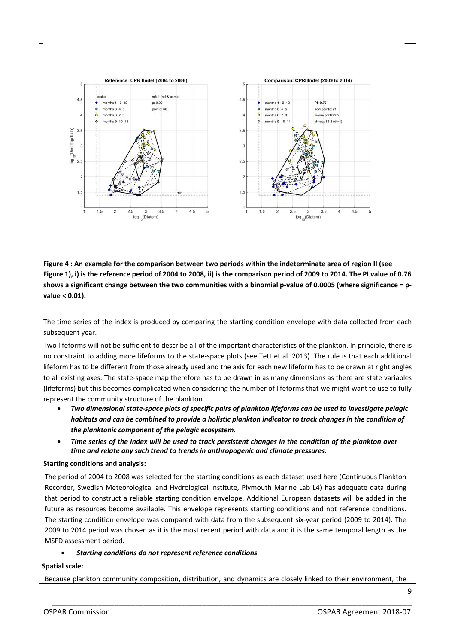

Figure 4 : An example for the comparison between two periods within the indeterminate area of region II (see Figure 1), i) is the reference period of 2004 to 2008, ii) is the comparison period of 2009 to 2014. The PI value of 0.76 shows a significant change between the two communities with a binomial p-value of 0.0005 (where significance = p**value < 0.01).**

The time series of the index is produced by comparing the starting condition envelope with data collected from each subsequent year.

Two lifeforms will not be sufficient to describe all of the important characteristics of the plankton. In principle, there is no constraint to adding more lifeforms to the state‐space plots (see Tett et al*.* 2013). The rule is that each additional lifeform has to be different from those already used and the axis for each new lifeform has to be drawn at right angles to all existing axes. The state‐space map therefore has to be drawn in as many dimensions as there are state variables (lifeforms) but this becomes complicated when considering the number of lifeforms that we might want to use to fully represent the community structure of the plankton.

- Two dimensional state-space plots of specific pairs of plankton lifeforms can be used to investigate pelagic habitats and can be combined to provide a holistic plankton indicator to track changes in the condition of *the planktonic component of the pelagic ecosystem.*
- Time series of the index will be used to track persistent changes in the condition of the plankton over *time and relate any such trend to trends in anthropogenic and climate pressures.*

#### **Starting conditions and analysis:**

The period of 2004 to 2008 was selected for the starting conditions as each dataset used here (Continuous Plankton Recorder, Swedish Meteorological and Hydrological Institute, Plymouth Marine Lab L4) has adequate data during that period to construct a reliable starting condition envelope. Additional European datasets will be added in the future as resources become available. This envelope represents starting conditions and not reference conditions. The starting condition envelope was compared with data from the subsequent six‐year period (2009 to 2014). The 2009 to 2014 period was chosen as it is the most recent period with data and it is the same temporal length as the MSFD assessment period.

#### *Starting conditions do not represent reference conditions*

#### **Spatial scale:**

Because plankton community composition, distribution, and dynamics are closely linked to their environment, the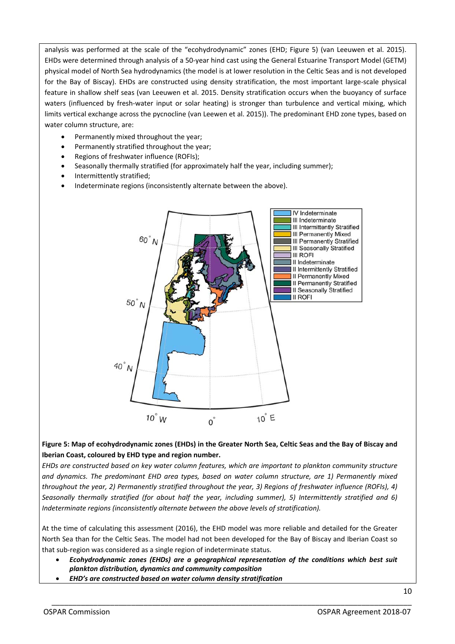analysis was performed at the scale of the "ecohydrodynamic" zones (EHD; Figure 5) (van Leeuwen et al. 2015). EHDs were determined through analysis of a 50‐year hind cast using the General Estuarine Transport Model (GETM) physical model of North Sea hydrodynamics (the model is at lower resolution in the Celtic Seas and is not developed for the Bay of Biscay). EHDs are constructed using density stratification, the most important large-scale physical feature in shallow shelf seas (van Leeuwen et al. 2015. Density stratification occurs when the buoyancy of surface waters (influenced by fresh-water input or solar heating) is stronger than turbulence and vertical mixing, which limits vertical exchange across the pycnocline (van Leewen et al. 2015)). The predominant EHD zone types, based on water column structure, are:

- Permanently mixed throughout the year;
- Permanently stratified throughout the year;
- Regions of freshwater influence (ROFIs);
- Seasonally thermally stratified (for approximately half the year, including summer);
- Intermittently stratified;
- Indeterminate regions (inconsistently alternate between the above).



#### Figure 5: Map of ecohydrodynamic zones (EHDs) in the Greater North Sea, Celtic Seas and the Bay of Biscay and **Iberian Coast, coloured by EHD type and region number.**

*EHDs are constructed based on key water column features, which are important to plankton community structure and dynamics. The predominant EHD area types, based on water column structure, are 1) Permanently mixed* throughout the year, 2) Permanently stratified throughout the year, 3) Regions of freshwater influence (ROFIs), 4) *Seasonally thermally stratified (for about half the year, including summer), 5) Intermittently stratified and 6) Indeterminate regions (inconsistently alternate between the above levels of stratification).*

At the time of calculating this assessment (2016), the EHD model was more reliable and detailed for the Greater North Sea than for the Celtic Seas. The model had not been developed for the Bay of Biscay and Iberian Coast so that sub‐region was considered as a single region of indeterminate status.

 *Ecohydrodynamic zones (EHDs) are a geographical representation of the conditions which best suit plankton distribution, dynamics and community composition*

\_\_\_\_\_\_\_\_\_\_\_\_\_\_\_\_\_\_\_\_\_\_\_\_\_\_\_\_\_\_\_\_\_\_\_\_\_\_\_\_\_\_\_\_\_\_\_\_\_\_\_\_\_\_\_\_\_\_\_\_\_\_\_\_\_\_\_\_\_\_\_\_\_\_\_\_\_\_\_\_\_\_\_\_\_\_

*EHD's are constructed based on water column density stratification*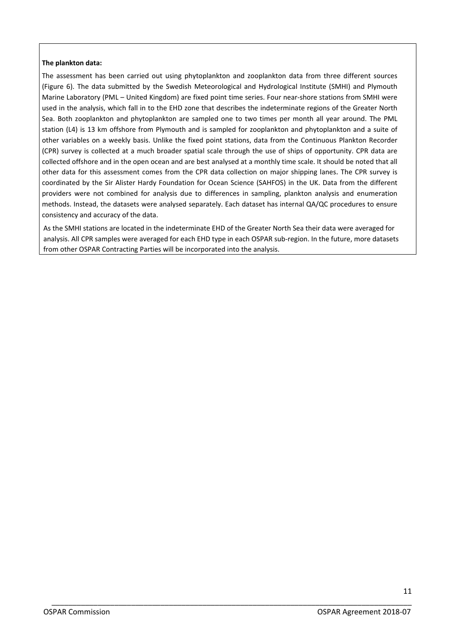#### **The plankton data:**

The assessment has been carried out using phytoplankton and zooplankton data from three different sources (Figure 6). The data submitted by the Swedish Meteorological and Hydrological Institute (SMHI) and Plymouth Marine Laboratory (PML – United Kingdom) are fixed point time series. Four near‐shore stations from SMHI were used in the analysis, which fall in to the EHD zone that describes the indeterminate regions of the Greater North Sea. Both zooplankton and phytoplankton are sampled one to two times per month all year around. The PML station (L4) is 13 km offshore from Plymouth and is sampled for zooplankton and phytoplankton and a suite of other variables on a weekly basis. Unlike the fixed point stations, data from the Continuous Plankton Recorder (CPR) survey is collected at a much broader spatial scale through the use of ships of opportunity. CPR data are collected offshore and in the open ocean and are best analysed at a monthly time scale. It should be noted that all other data for this assessment comes from the CPR data collection on major shipping lanes. The CPR survey is coordinated by the Sir Alister Hardy Foundation for Ocean Science (SAHFOS) in the UK. Data from the different providers were not combined for analysis due to differences in sampling, plankton analysis and enumeration methods. Instead, the datasets were analysed separately. Each dataset has internal QA/QC procedures to ensure consistency and accuracy of the data.

As the SMHI stations are located in the indeterminate EHD of the Greater North Sea their data were averaged for analysis. All CPR samples were averaged for each EHD type in each OSPAR sub-region. In the future, more datasets from other OSPAR Contracting Parties will be incorporated into the analysis.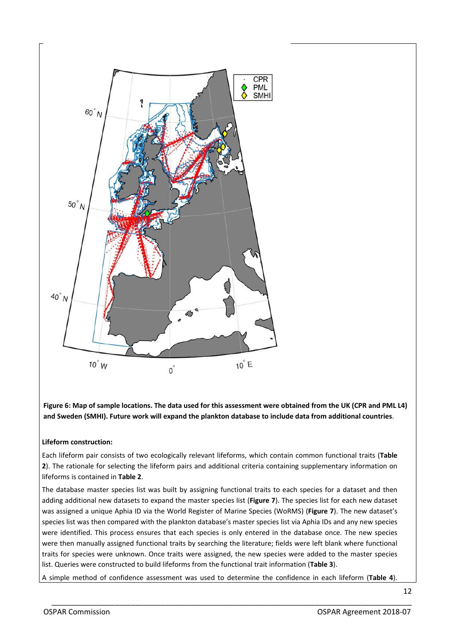

Figure 6: Map of sample locations. The data used for this assessment were obtained from the UK (CPR and PML L4) **and Sweden (SMHI). Future work will expand the plankton database to include data from additional countries**.

#### **Lifeform construction:**

Each lifeform pair consists of two ecologically relevant lifeforms, which contain common functional traits (**Table 2**). The rationale for selecting the lifeform pairs and additional criteria containing supplementary information on lifeforms is contained in **Table 2**.

The database master species list was built by assigning functional traits to each species for a dataset and then adding additional new datasets to expand the master species list (**Figure 7**). The species list for each new dataset was assigned a unique Aphia ID via the World Register of Marine Species (WoRMS) (**Figure 7**). The new dataset's species list was then compared with the plankton database's master species list via Aphia IDs and any new species were identified. This process ensures that each species is only entered in the database once. The new species were then manually assigned functional traits by searching the literature; fields were left blank where functional traits for species were unknown. Once traits were assigned, the new species were added to the master species list. Queries were constructed to build lifeforms from the functional trait information (**Table 3**).

A simple method of confidence assessment was used to determine the confidence in each lifeform (**Table 4**).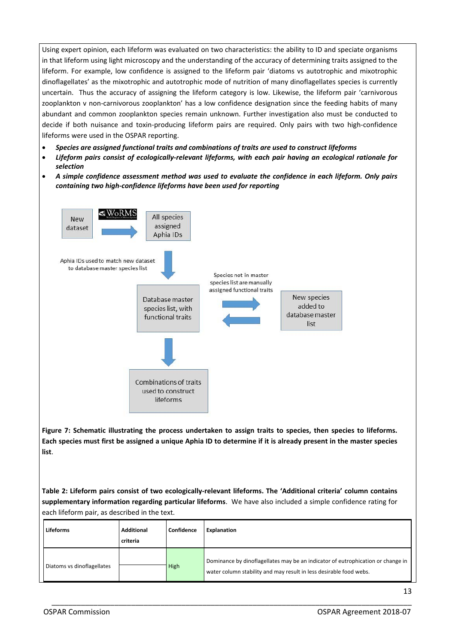Using expert opinion, each lifeform was evaluated on two characteristics: the ability to ID and speciate organisms in that lifeform using light microscopy and the understanding of the accuracy of determining traits assigned to the lifeform. For example, low confidence is assigned to the lifeform pair 'diatoms vs autotrophic and mixotrophic dinoflagellates' as the mixotrophic and autotrophic mode of nutrition of many dinoflagellates species is currently uncertain. Thus the accuracy of assigning the lifeform category is low. Likewise, the lifeform pair 'carnivorous zooplankton v non‐carnivorous zooplankton' has a low confidence designation since the feeding habits of many abundant and common zooplankton species remain unknown. Further investigation also must be conducted to decide if both nuisance and toxin‐producing lifeform pairs are required. Only pairs with two high‐confidence lifeforms were used in the OSPAR reporting.

- *Species are assigned functional traits and combinations of traits are used to construct lifeforms*
- *Lifeform pairs consist of ecologically‐relevant lifeforms, with each pair having an ecological rationale for selection*
- *A simple confidence assessment method was used to evaluate the confidence in each lifeform. Only pairs containing two high‐confidence lifeforms have been used for reporting*



**Figure 7: Schematic illustrating the process undertaken to assign traits to species, then species to lifeforms.** Each species must first be assigned a unique Aphia ID to determine if it is already present in the master species **list**.

Table 2: Lifeform pairs consist of two ecologically-relevant lifeforms. The 'Additional criteria' column contains **supplementary information regarding particular lifeforms**. We have also included a simple confidence rating for each lifeform pair, as described in the text.

| <b>Lifeforms</b>           | <b>Additional</b><br>criteria | Confidence | <b>Explanation</b>                                                                                                                                    |
|----------------------------|-------------------------------|------------|-------------------------------------------------------------------------------------------------------------------------------------------------------|
| Diatoms vs dinoflagellates |                               | High       | Dominance by dinoflagellates may be an indicator of eutrophication or change in<br>water column stability and may result in less desirable food webs. |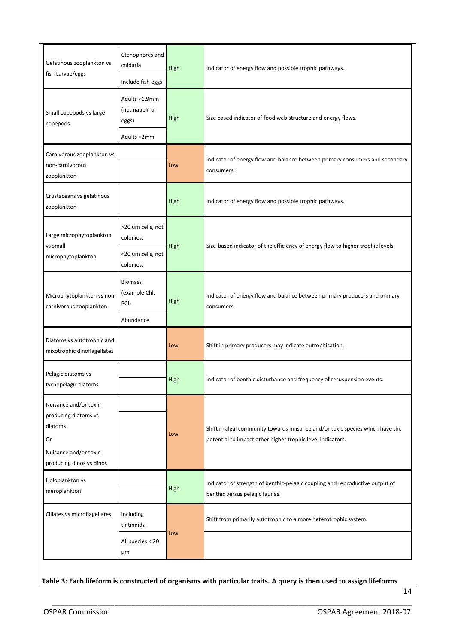| Gelatinous zooplankton vs<br>fish Larvae/eggs                                                                         | Ctenophores and<br>cnidaria<br>Include fish eggs     | High | Indicator of energy flow and possible trophic pathways.                                                                                     |  |  |
|-----------------------------------------------------------------------------------------------------------------------|------------------------------------------------------|------|---------------------------------------------------------------------------------------------------------------------------------------------|--|--|
| Small copepods vs large<br>copepods                                                                                   | Adults <1.9mm<br>(not nauplii or<br>eggs)            | High | Size based indicator of food web structure and energy flows.                                                                                |  |  |
|                                                                                                                       | Adults >2mm                                          |      |                                                                                                                                             |  |  |
| Carnivorous zooplankton vs<br>non-carnivorous<br>zooplankton                                                          |                                                      | Low  | Indicator of energy flow and balance between primary consumers and secondary<br>consumers.                                                  |  |  |
| Crustaceans vs gelatinous<br>zooplankton                                                                              |                                                      | High | Indicator of energy flow and possible trophic pathways.                                                                                     |  |  |
| Large microphytoplankton<br>vs small                                                                                  | >20 um cells, not<br>colonies.                       | High | Size-based indicator of the efficiency of energy flow to higher trophic levels.                                                             |  |  |
| microphytoplankton                                                                                                    | <20 um cells, not<br>colonies.                       |      |                                                                                                                                             |  |  |
| Microphytoplankton vs non-<br>carnivorous zooplankton                                                                 | <b>Biomass</b><br>(example Chl,<br>PCI)<br>Abundance | High | Indicator of energy flow and balance between primary producers and primary<br>consumers.                                                    |  |  |
| Diatoms vs autotrophic and<br>mixotrophic dinoflagellates                                                             |                                                      | Low  | Shift in primary producers may indicate eutrophication.                                                                                     |  |  |
| Pelagic diatoms vs<br>tychopelagic diatoms                                                                            |                                                      | High | Indicator of benthic disturbance and frequency of resuspension events.                                                                      |  |  |
| Nuisance and/or toxin-<br>producing diatoms vs<br>diatoms<br>Or<br>Nuisance and/or toxin-<br>producing dinos vs dinos |                                                      | Low  | Shift in algal community towards nuisance and/or toxic species which have the<br>potential to impact other higher trophic level indicators. |  |  |
| Holoplankton vs<br>meroplankton                                                                                       |                                                      | High | Indicator of strength of benthic-pelagic coupling and reproductive output of<br>benthic versus pelagic faunas.                              |  |  |
| Ciliates vs microflagellates                                                                                          | Including<br>tintinnids                              | Low  | Shift from primarily autotrophic to a more heterotrophic system.                                                                            |  |  |
|                                                                                                                       | All species < 20<br>μm                               |      |                                                                                                                                             |  |  |

Table 3: Each lifeform is constructed of organisms with particular traits. A query is then used to assign lifeforms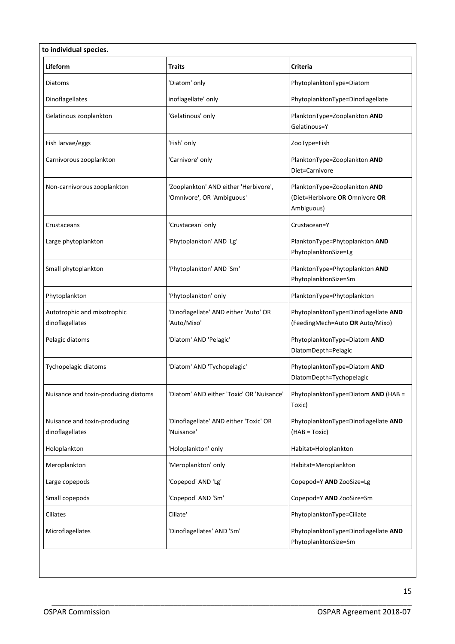| Lifeform                                        | <b>Traits</b>                                                       | <b>Criteria</b>                                                              |
|-------------------------------------------------|---------------------------------------------------------------------|------------------------------------------------------------------------------|
| Diatoms                                         | 'Diatom' only                                                       | PhytoplanktonType=Diatom                                                     |
| Dinoflagellates                                 | inoflagellate' only                                                 | PhytoplanktonType=Dinoflagellate                                             |
| Gelatinous zooplankton                          | 'Gelatinous' only                                                   | PlanktonType=Zooplankton AND<br>Gelatinous=Y                                 |
| Fish larvae/eggs                                | 'Fish' only                                                         | ZooType=Fish                                                                 |
| Carnivorous zooplankton                         | 'Carnivore' only                                                    | PlanktonType=Zooplankton AND<br>Diet=Carnivore                               |
| Non-carnivorous zooplankton                     | 'Zooplankton' AND either 'Herbivore',<br>'Omnivore', OR 'Ambiguous' | PlanktonType=Zooplankton AND<br>(Diet=Herbivore OR Omnivore OR<br>Ambiguous) |
| Crustaceans                                     | 'Crustacean' only                                                   | Crustacean=Y                                                                 |
| Large phytoplankton                             | 'Phytoplankton' AND 'Lg'                                            | PlanktonType=Phytoplankton AND<br>PhytoplanktonSize=Lg                       |
| Small phytoplankton                             | 'Phytoplankton' AND 'Sm'                                            | PlanktonType=Phytoplankton AND<br>PhytoplanktonSize=Sm                       |
| Phytoplankton                                   | 'Phytoplankton' only                                                | PlanktonType=Phytoplankton                                                   |
| Autotrophic and mixotrophic<br>dinoflagellates  | 'Dinoflagellate' AND either 'Auto' OR<br>'Auto/Mixo'                | PhytoplanktonType=Dinoflagellate AND<br>(FeedingMech=Auto OR Auto/Mixo)      |
| Pelagic diatoms                                 | 'Diatom' AND 'Pelagic'                                              | PhytoplanktonType=Diatom AND<br>DiatomDepth=Pelagic                          |
| Tychopelagic diatoms                            | 'Diatom' AND 'Tychopelagic'                                         | PhytoplanktonType=Diatom AND<br>DiatomDepth=Tychopelagic                     |
| Nuisance and toxin-producing diatoms            | 'Diatom' AND either 'Toxic' OR 'Nuisance'                           | PhytoplanktonType=Diatom AND (HAB =<br>Toxic)                                |
| Nuisance and toxin-producing<br>dinoflagellates | 'Dinoflagellate' AND either 'Toxic' OR<br>'Nuisance'                | PhytoplanktonType=Dinoflagellate AND<br>(HAB = Toxic)                        |
| Holoplankton                                    | 'Holoplankton' only                                                 | Habitat=Holoplankton                                                         |
| Meroplankton                                    | 'Meroplankton' only                                                 | Habitat=Meroplankton                                                         |
| Large copepods                                  | 'Copepod' AND 'Lg'                                                  | Copepod=Y AND ZooSize=Lg                                                     |
| Small copepods                                  | 'Copepod' AND 'Sm'                                                  | Copepod=Y AND ZooSize=Sm                                                     |
| Ciliates                                        | Ciliate'                                                            | PhytoplanktonType=Ciliate                                                    |
| Microflagellates                                | 'Dinoflagellates' AND 'Sm'                                          | PhytoplanktonType=Dinoflagellate AND<br>PhytoplanktonSize=Sm                 |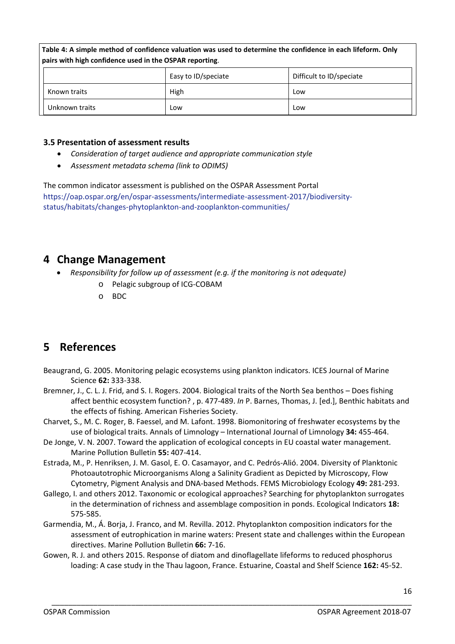| Table 4: A simple method of confidence valuation was used to determine the confidence in each lifeform. Only<br>pairs with high confidence used in the OSPAR reporting. |                     |                          |  |  |  |
|-------------------------------------------------------------------------------------------------------------------------------------------------------------------------|---------------------|--------------------------|--|--|--|
|                                                                                                                                                                         | Easy to ID/speciate | Difficult to ID/speciate |  |  |  |
| Known traits                                                                                                                                                            | High                | Low                      |  |  |  |
| Unknown traits                                                                                                                                                          | Low                 | Low                      |  |  |  |

#### **3.5 Presentation of assessment results**

- *Consideration of target audience and appropriate communication style*
- *Assessment metadata schema (link to ODIMS)*

The common indicator assessment is published on the OSPAR Assessment Portal https://oap.ospar.org/en/ospar‐assessments/intermediate‐assessment‐2017/biodiversity‐ status/habitats/changes‐phytoplankton‐and‐zooplankton‐communities/

# **4 Change Management**

- *Responsibility for follow up of assessment (e.g. if the monitoring is not adequate)*
	- o Pelagic subgroup of ICG‐COBAM
	- o BDC

# **5 References**

- Beaugrand, G. 2005. Monitoring pelagic ecosystems using plankton indicators. ICES Journal of Marine Science **62:** 333‐338.
- Bremner, J., C. L. J. Frid, and S. I. Rogers. 2004. Biological traits of the North Sea benthos Does fishing affect benthic ecosystem function? , p. 477‐489. *In* P. Barnes, Thomas, J. [ed.], Benthic habitats and the effects of fishing. American Fisheries Society.
- Charvet, S., M. C. Roger, B. Faessel, and M. Lafont. 1998. Biomonitoring of freshwater ecosystems by the use of biological traits. Annals of Limnology – International Journal of Limnology **34:** 455‐464.
- De Jonge, V. N. 2007. Toward the application of ecological concepts in EU coastal water management. Marine Pollution Bulletin **55:** 407‐414.
- Estrada, M., P. Henriksen, J. M. Gasol, E. O. Casamayor, and C. Pedrós‐Alió. 2004. Diversity of Planktonic Photoautotrophic Microorganisms Along a Salinity Gradient as Depicted by Microscopy, Flow Cytometry, Pigment Analysis and DNA‐based Methods. FEMS Microbiology Ecology **49:** 281‐293.
- Gallego, I. and others 2012. Taxonomic or ecological approaches? Searching for phytoplankton surrogates in the determination of richness and assemblage composition in ponds. Ecological Indicators **18:** 575‐585.
- Garmendia, M., Á. Borja, J. Franco, and M. Revilla. 2012. Phytoplankton composition indicators for the assessment of eutrophication in marine waters: Present state and challenges within the European directives. Marine Pollution Bulletin **66:** 7‐16.
- Gowen, R. J. and others 2015. Response of diatom and dinoflagellate lifeforms to reduced phosphorus loading: A case study in the Thau lagoon, France. Estuarine, Coastal and Shelf Science **162:** 45‐52.